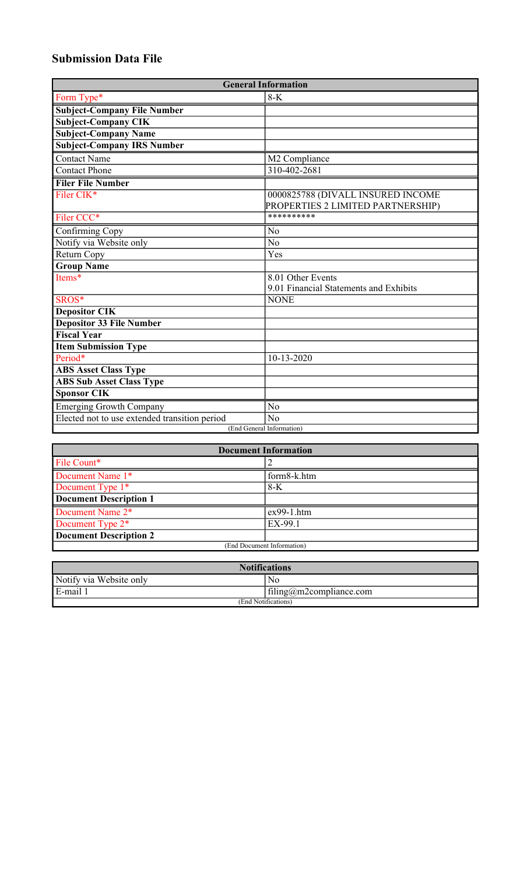# **Submission Data File**

| <b>General Information</b>                    |                                                                        |  |
|-----------------------------------------------|------------------------------------------------------------------------|--|
| Form Type*                                    | $8-K$                                                                  |  |
| <b>Subject-Company File Number</b>            |                                                                        |  |
| <b>Subject-Company CIK</b>                    |                                                                        |  |
| <b>Subject-Company Name</b>                   |                                                                        |  |
| <b>Subject-Company IRS Number</b>             |                                                                        |  |
| Contact Name                                  | M2 Compliance                                                          |  |
| <b>Contact Phone</b>                          | 310-402-2681                                                           |  |
| <b>Filer File Number</b>                      |                                                                        |  |
| Filer CIK*                                    | 0000825788 (DIVALL INSURED INCOME<br>PROPERTIES 2 LIMITED PARTNERSHIP) |  |
| Filer CCC*                                    | **********                                                             |  |
| Confirming Copy                               | No                                                                     |  |
| Notify via Website only                       | N <sub>o</sub>                                                         |  |
| Return Copy                                   | Yes                                                                    |  |
| <b>Group Name</b>                             |                                                                        |  |
| Items*                                        | 8.01 Other Events                                                      |  |
|                                               | 9.01 Financial Statements and Exhibits                                 |  |
| SROS*                                         | <b>NONE</b>                                                            |  |
| <b>Depositor CIK</b>                          |                                                                        |  |
| <b>Depositor 33 File Number</b>               |                                                                        |  |
| <b>Fiscal Year</b>                            |                                                                        |  |
| <b>Item Submission Type</b>                   |                                                                        |  |
| Period*                                       | 10-13-2020                                                             |  |
| <b>ABS Asset Class Type</b>                   |                                                                        |  |
| <b>ABS Sub Asset Class Type</b>               |                                                                        |  |
| <b>Sponsor CIK</b>                            |                                                                        |  |
| <b>Emerging Growth Company</b>                | No                                                                     |  |
| Elected not to use extended transition period | No                                                                     |  |
| (End General Information)                     |                                                                        |  |

| <b>Document Information</b>   |              |  |
|-------------------------------|--------------|--|
| File Count*                   |              |  |
| Document Name 1*              | form8-k.htm  |  |
| Document Type 1 <sup>*</sup>  | $8-K$        |  |
| <b>Document Description 1</b> |              |  |
| Document Name 2*              | $ex99-1.htm$ |  |
| Document Type 2 <sup>*</sup>  | EX-99.1      |  |
| <b>Document Description 2</b> |              |  |
| (End Document Information)    |              |  |

| <b>Notifications</b>    |                         |  |
|-------------------------|-------------------------|--|
| Notify via Website only | No                      |  |
| $E$ -mail               | filing@m2compliance.com |  |
| (End Notifications)     |                         |  |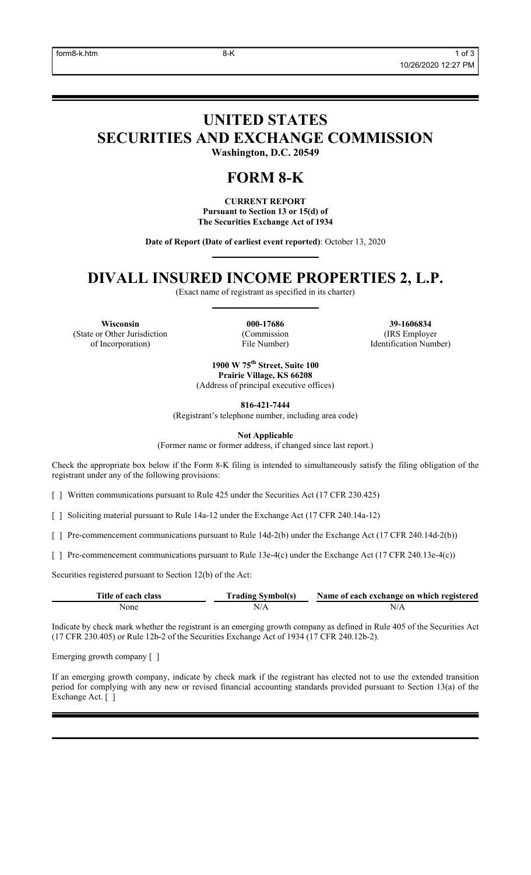# **UNITED STATES SECURITIES AND EXCHANGE COMMISSION**

**Washington, D.C. 20549**

# **FORM 8-K**

**CURRENT REPORT Pursuant to Section 13 or 15(d) of The Securities Exchange Act of 1934**

**Date of Report (Date of earliest event reported)**: October 13, 2020

# **DIVALL INSURED INCOME PROPERTIES 2, L.P.**

(Exact name of registrant as specified in its charter)

**Wisconsin 000-17686 39-1606834** (State or Other Jurisdiction of Incorporation)

(Commission File Number)

(IRS Employer Identification Number)

**1900 W 75th Street, Suite 100 Prairie Village, KS 66208** (Address of principal executive offices)

**816-421-7444**

(Registrant's telephone number, including area code)

**Not Applicable**

(Former name or former address, if changed since last report.)

Check the appropriate box below if the Form 8-K filing is intended to simultaneously satisfy the filing obligation of the registrant under any of the following provisions:

[ ] Written communications pursuant to Rule 425 under the Securities Act (17 CFR 230.425)

[ ] Soliciting material pursuant to Rule 14a-12 under the Exchange Act (17 CFR 240.14a-12)

[ ] Pre-commencement communications pursuant to Rule 14d-2(b) under the Exchange Act (17 CFR 240.14d-2(b))

[ ] Pre-commencement communications pursuant to Rule 13e-4(c) under the Exchange Act (17 CFR 240.13e-4(c))

Securities registered pursuant to Section 12(b) of the Act:

| Title of each class | <b>Trading Symbol(s)</b> | Name of each exchange on which registered |
|---------------------|--------------------------|-------------------------------------------|
| None                |                          | N/A                                       |

Indicate by check mark whether the registrant is an emerging growth company as defined in Rule 405 of the Securities Act (17 CFR 230.405) or Rule 12b-2 of the Securities Exchange Act of 1934 (17 CFR 240.12b-2).

Emerging growth company [ ]

If an emerging growth company, indicate by check mark if the registrant has elected not to use the extended transition period for complying with any new or revised financial accounting standards provided pursuant to Section 13(a) of the Exchange Act. [ ]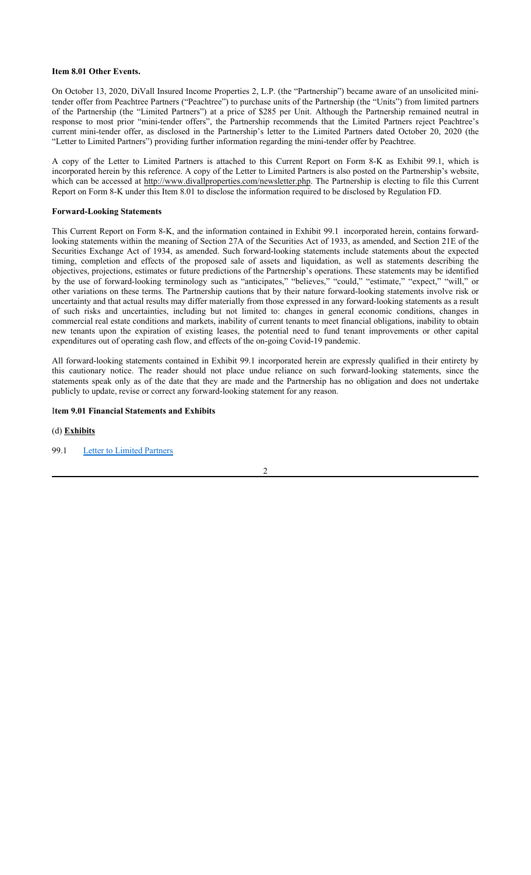### **Item 8.01 Other Events.**

On October 13, 2020, DiVall Insured Income Properties 2, L.P. (the "Partnership") became aware of an unsolicited minitender offer from Peachtree Partners ("Peachtree") to purchase units of the Partnership (the "Units") from limited partners of the Partnership (the "Limited Partners") at a price of \$285 per Unit. Although the Partnership remained neutral in response to most prior "mini-tender offers", the Partnership recommends that the Limited Partners reject Peachtree's current mini-tender offer, as disclosed in the Partnership's letter to the Limited Partners dated October 20, 2020 (the "Letter to Limited Partners") providing further information regarding the mini-tender offer by Peachtree.

A copy of the Letter to Limited Partners is attached to this Current Report on Form 8-K as Exhibit 99.1, which is incorporated herein by this reference. A copy of the Letter to Limited Partners is also posted on the Partnership's website, which can be accessed at http://www.divallproperties.com/newsletter.php. The Partnership is electing to file this Current Report on Form 8-K under this Item 8.01 to disclose the information required to be disclosed by Regulation FD.

#### **Forward-Looking Statements**

This Current Report on Form 8-K, and the information contained in Exhibit 99.1 incorporated herein, contains forwardlooking statements within the meaning of Section 27A of the Securities Act of 1933, as amended, and Section 21E of the Securities Exchange Act of 1934, as amended. Such forward-looking statements include statements about the expected timing, completion and effects of the proposed sale of assets and liquidation, as well as statements describing the objectives, projections, estimates or future predictions of the Partnership's operations. These statements may be identified by the use of forward-looking terminology such as "anticipates," "believes," "could," "estimate," "expect," "will," or other variations on these terms. The Partnership cautions that by their nature forward-looking statements involve risk or uncertainty and that actual results may differ materially from those expressed in any forward-looking statements as a result of such risks and uncertainties, including but not limited to: changes in general economic conditions, changes in commercial real estate conditions and markets, inability of current tenants to meet financial obligations, inability to obtain new tenants upon the expiration of existing leases, the potential need to fund tenant improvements or other capital expenditures out of operating cash flow, and effects of the on-going Covid-19 pandemic.

All forward-looking statements contained in Exhibit 99.1 incorporated herein are expressly qualified in their entirety by this cautionary notice. The reader should not place undue reliance on such forward-looking statements, since the statements speak only as of the date that they are made and the Partnership has no obligation and does not undertake publicly to update, revise or correct any forward-looking statement for any reason.

#### I**tem 9.01 Financial Statements and Exhibits**

#### (d) **Exhibits**

99.1 Letter to Limited Partners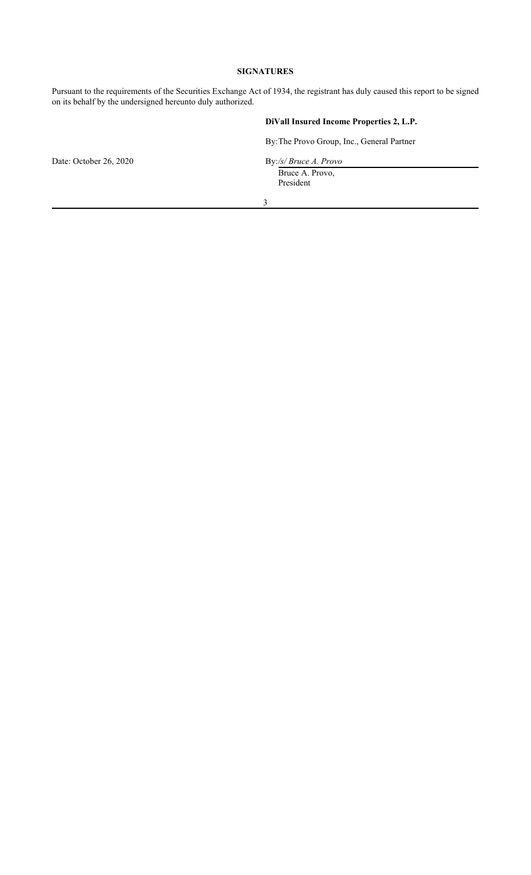## **SIGNATURES**

Pursuant to the requirements of the Securities Exchange Act of 1934, the registrant has duly caused this report to be signed on its behalf by the undersigned hereunto duly authorized.

### **DiVall Insured Income Properties 2, L.P.**

By:The Provo Group, Inc., General Partner

Bruce A. Provo, President

Date: October 26, 2020 By:/s/ Bruce A. Provo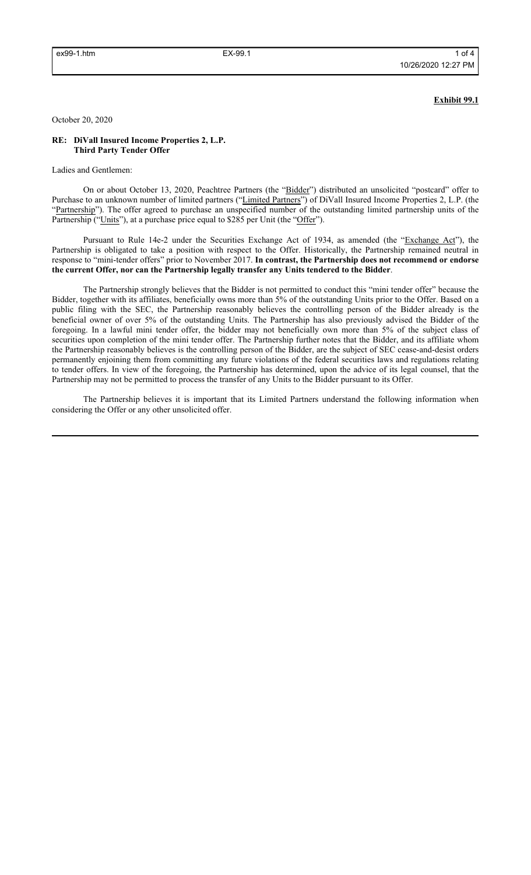#### **Exhibit 99.1**

October 20, 2020

#### **RE: DiVall Insured Income Properties 2, L.P. Third Party Tender Offer**

Ladies and Gentlemen:

On or about October 13, 2020, Peachtree Partners (the "Bidder") distributed an unsolicited "postcard" offer to Purchase to an unknown number of limited partners ("Limited Partners") of DiVall Insured Income Properties 2, L.P. (the "Partnership"). The offer agreed to purchase an unspecified number of the outstanding limited partnership units of the Partnership ("Units"), at a purchase price equal to \$285 per Unit (the "Offer").

Pursuant to Rule 14e-2 under the Securities Exchange Act of 1934, as amended (the "Exchange Act"), the Partnership is obligated to take a position with respect to the Offer. Historically, the Partnership remained neutral in response to "mini-tender offers" prior to November 2017. **In contrast, the Partnership does not recommend or endorse the current Offer, nor can the Partnership legally transfer any Units tendered to the Bidder**.

The Partnership strongly believes that the Bidder is not permitted to conduct this "mini tender offer" because the Bidder, together with its affiliates, beneficially owns more than 5% of the outstanding Units prior to the Offer. Based on a public filing with the SEC, the Partnership reasonably believes the controlling person of the Bidder already is the beneficial owner of over 5% of the outstanding Units. The Partnership has also previously advised the Bidder of the foregoing. In a lawful mini tender offer, the bidder may not beneficially own more than 5% of the subject class of securities upon completion of the mini tender offer. The Partnership further notes that the Bidder, and its affiliate whom the Partnership reasonably believes is the controlling person of the Bidder, are the subject of SEC cease-and-desist orders permanently enjoining them from committing any future violations of the federal securities laws and regulations relating to tender offers. In view of the foregoing, the Partnership has determined, upon the advice of its legal counsel, that the Partnership may not be permitted to process the transfer of any Units to the Bidder pursuant to its Offer.

The Partnership believes it is important that its Limited Partners understand the following information when considering the Offer or any other unsolicited offer.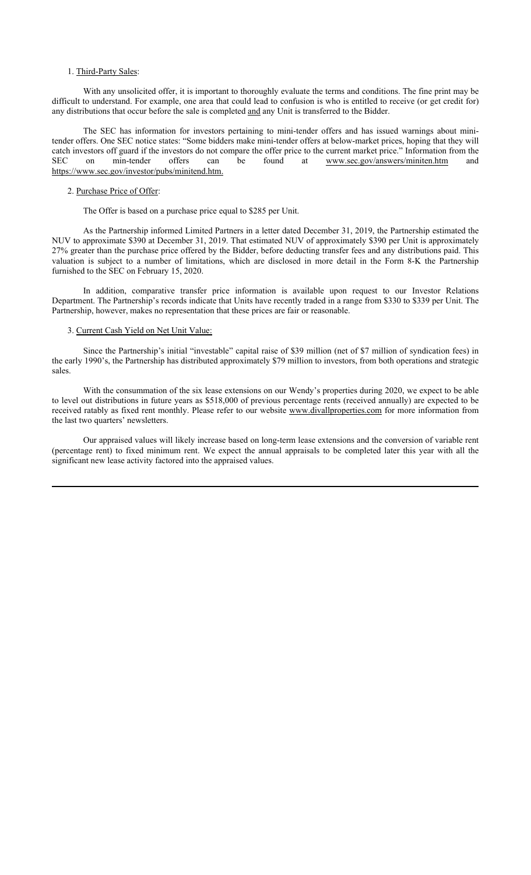#### 1. Third-Party Sales:

With any unsolicited offer, it is important to thoroughly evaluate the terms and conditions. The fine print may be difficult to understand. For example, one area that could lead to confusion is who is entitled to receive (or get credit for) any distributions that occur before the sale is completed and any Unit is transferred to the Bidder.

The SEC has information for investors pertaining to mini-tender offers and has issued warnings about minitender offers. One SEC notice states: "Some bidders make mini-tender offers at below-market prices, hoping that they will catch investors off guard if the investors do not compare the offer price to the current market price." Information from the SEC on min-tender offers can be found at www.sec.gov/answers/miniten.htm and on min-tender offers can be found at www.sec.gov/answers/miniten.htm and https://www.sec.gov/investor/pubs/minitend.htm.

#### 2. Purchase Price of Offer:

The Offer is based on a purchase price equal to \$285 per Unit.

As the Partnership informed Limited Partners in a letter dated December 31, 2019, the Partnership estimated the NUV to approximate \$390 at December 31, 2019. That estimated NUV of approximately \$390 per Unit is approximately 27% greater than the purchase price offered by the Bidder, before deducting transfer fees and any distributions paid. This valuation is subject to a number of limitations, which are disclosed in more detail in the Form 8-K the Partnership furnished to the SEC on February 15, 2020.

In addition, comparative transfer price information is available upon request to our Investor Relations Department. The Partnership's records indicate that Units have recently traded in a range from \$330 to \$339 per Unit. The Partnership, however, makes no representation that these prices are fair or reasonable.

#### 3. Current Cash Yield on Net Unit Value:

Since the Partnership's initial "investable" capital raise of \$39 million (net of \$7 million of syndication fees) in the early 1990's, the Partnership has distributed approximately \$79 million to investors, from both operations and strategic sales.

With the consummation of the six lease extensions on our Wendy's properties during 2020, we expect to be able to level out distributions in future years as \$518,000 of previous percentage rents (received annually) are expected to be received ratably as fixed rent monthly. Please refer to our website www.divallproperties.com for more information from the last two quarters' newsletters.

Our appraised values will likely increase based on long-term lease extensions and the conversion of variable rent (percentage rent) to fixed minimum rent. We expect the annual appraisals to be completed later this year with all the significant new lease activity factored into the appraised values.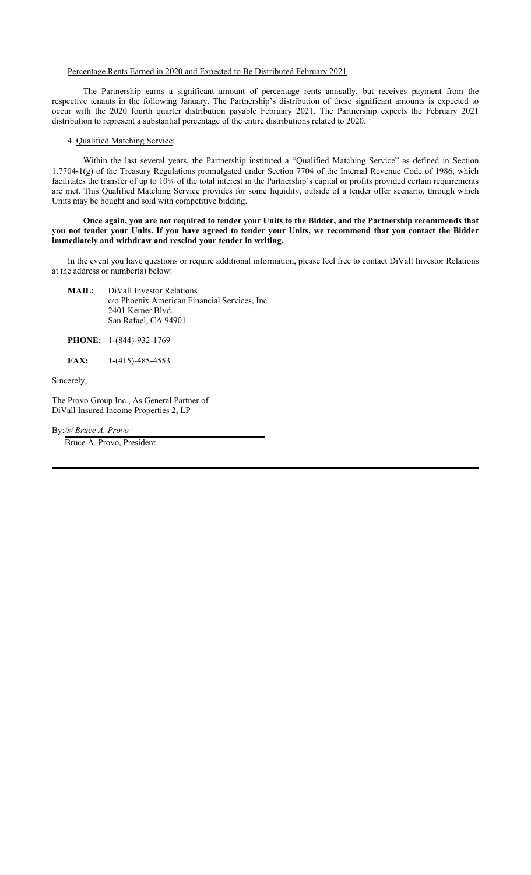#### Percentage Rents Earned in 2020 and Expected to Be Distributed February 2021

The Partnership earns a significant amount of percentage rents annually, but receives payment from the respective tenants in the following January. The Partnership's distribution of these significant amounts is expected to occur with the 2020 fourth quarter distribution payable February 2021. The Partnership expects the February 2021 distribution to represent a substantial percentage of the entire distributions related to 2020.

#### 4. Qualified Matching Service:

Within the last several years, the Partnership instituted a "Qualified Matching Service" as defined in Section 1.7704-1(g) of the Treasury Regulations promulgated under Section 7704 of the Internal Revenue Code of 1986, which facilitates the transfer of up to 10% of the total interest in the Partnership's capital or profits provided certain requirements are met. This Qualified Matching Service provides for some liquidity, outside of a tender offer scenario, through which Units may be bought and sold with competitive bidding.

#### **Once again, you are not required to tender your Units to the Bidder, and the Partnership recommends that you not tender your Units. If you have agreed to tender your Units, we recommend that you contact the Bidder immediately and withdraw and rescind your tender in writing.**

In the event you have questions or require additional information, please feel free to contact DiVall Investor Relations at the address or number(s) below:

- **MAIL:** DiVall Investor Relations c/o Phoenix American Financial Services, Inc. 2401 Kerner Blvd. San Rafael, CA 94901
- **PHONE:** 1-(844)-932-1769
- **FAX:** 1-(415)-485-4553

Sincerely,

The Provo Group Inc., As General Partner of DiVall Insured Income Properties 2, LP

By:*/s/ Bruce A. Provo*

Bruce A. Provo, President